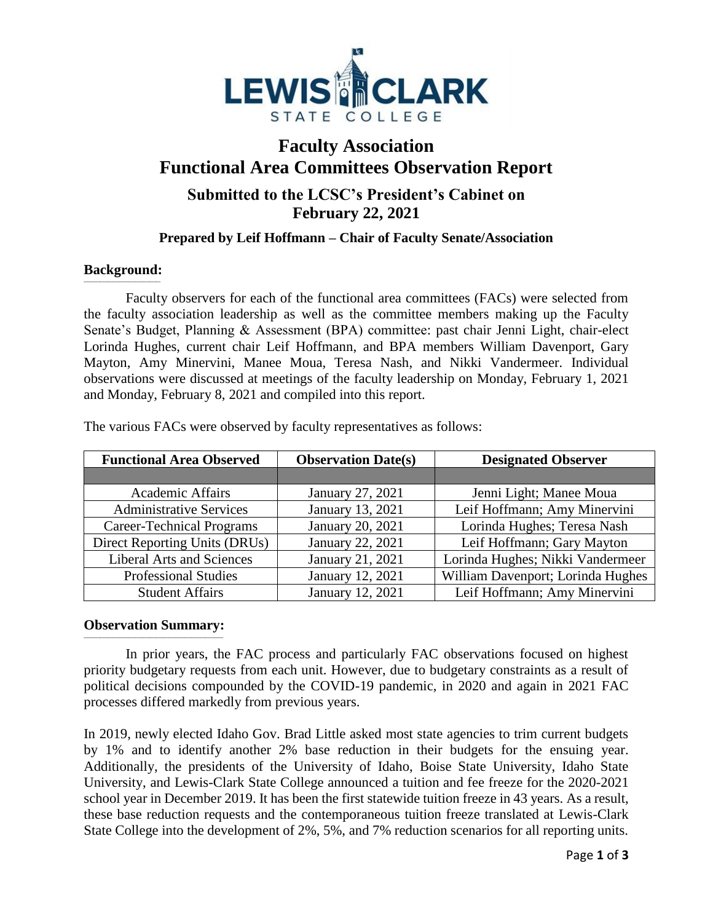

## **Faculty Association Functional Area Committees Observation Report Submitted to the LCSC's President's Cabinet on February 22, 2021**

## **Prepared by Leif Hoffmann – Chair of Faculty Senate/Association**

## **Background: \_\_\_\_\_\_\_\_\_\_\_\_\_\_\_\_\_\_\_\_\_\_\_\_\_\_\_\_\_\_\_\_\_**

Faculty observers for each of the functional area committees (FACs) were selected from the faculty association leadership as well as the committee members making up the Faculty Senate's Budget, Planning & Assessment (BPA) committee: past chair Jenni Light, chair-elect Lorinda Hughes, current chair Leif Hoffmann, and BPA members William Davenport, Gary Mayton, Amy Minervini, Manee Moua, Teresa Nash, and Nikki Vandermeer. Individual observations were discussed at meetings of the faculty leadership on Monday, February 1, 2021 and Monday, February 8, 2021 and compiled into this report.

| <b>Functional Area Observed</b>  | <b>Observation Date(s)</b> | <b>Designated Observer</b>        |
|----------------------------------|----------------------------|-----------------------------------|
|                                  |                            |                                   |
| <b>Academic Affairs</b>          | January 27, 2021           | Jenni Light; Manee Moua           |
| <b>Administrative Services</b>   | January 13, 2021           | Leif Hoffmann; Amy Minervini      |
| <b>Career-Technical Programs</b> | January 20, 2021           | Lorinda Hughes; Teresa Nash       |
| Direct Reporting Units (DRUs)    | January 22, 2021           | Leif Hoffmann; Gary Mayton        |
| <b>Liberal Arts and Sciences</b> | January 21, 2021           | Lorinda Hughes; Nikki Vandermeer  |
| <b>Professional Studies</b>      | January 12, 2021           | William Davenport; Lorinda Hughes |
| <b>Student Affairs</b>           | January 12, 2021           | Leif Hoffmann; Amy Minervini      |

The various FACs were observed by faculty representatives as follows:

## **Observation Summary: \_\_\_\_\_\_\_\_\_\_\_\_\_\_\_\_\_\_\_\_\_\_\_\_\_\_\_\_\_\_\_\_\_\_\_\_\_\_\_\_\_\_\_\_\_\_\_\_\_\_\_\_\_\_\_\_\_\_\_\_**

In prior years, the FAC process and particularly FAC observations focused on highest priority budgetary requests from each unit. However, due to budgetary constraints as a result of political decisions compounded by the COVID-19 pandemic, in 2020 and again in 2021 FAC processes differed markedly from previous years.

In 2019, newly elected Idaho Gov. Brad Little asked most state agencies to trim current budgets by 1% and to identify another 2% base reduction in their budgets for the ensuing year. Additionally, the presidents of the University of Idaho, Boise State University, Idaho State University, and Lewis-Clark State College announced a tuition and fee freeze for the 2020-2021 school year in December 2019. It has been the first statewide tuition freeze in 43 years. As a result, these base reduction requests and the contemporaneous tuition freeze translated at Lewis-Clark State College into the development of 2%, 5%, and 7% reduction scenarios for all reporting units.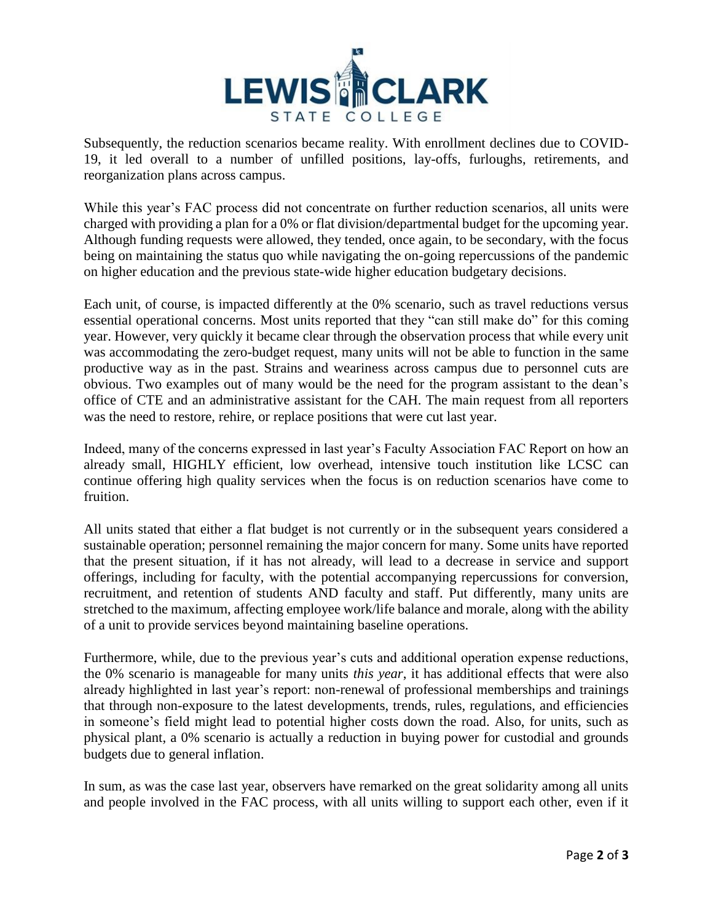

Subsequently, the reduction scenarios became reality. With enrollment declines due to COVID-19, it led overall to a number of unfilled positions, lay-offs, furloughs, retirements, and reorganization plans across campus.

While this year's FAC process did not concentrate on further reduction scenarios, all units were charged with providing a plan for a 0% or flat division/departmental budget for the upcoming year. Although funding requests were allowed, they tended, once again, to be secondary, with the focus being on maintaining the status quo while navigating the on-going repercussions of the pandemic on higher education and the previous state-wide higher education budgetary decisions.

Each unit, of course, is impacted differently at the 0% scenario, such as travel reductions versus essential operational concerns. Most units reported that they "can still make do" for this coming year. However, very quickly it became clear through the observation process that while every unit was accommodating the zero-budget request, many units will not be able to function in the same productive way as in the past. Strains and weariness across campus due to personnel cuts are obvious. Two examples out of many would be the need for the program assistant to the dean's office of CTE and an administrative assistant for the CAH. The main request from all reporters was the need to restore, rehire, or replace positions that were cut last year.

Indeed, many of the concerns expressed in last year's Faculty Association FAC Report on how an already small, HIGHLY efficient, low overhead, intensive touch institution like LCSC can continue offering high quality services when the focus is on reduction scenarios have come to fruition.

All units stated that either a flat budget is not currently or in the subsequent years considered a sustainable operation; personnel remaining the major concern for many. Some units have reported that the present situation, if it has not already, will lead to a decrease in service and support offerings, including for faculty, with the potential accompanying repercussions for conversion, recruitment, and retention of students AND faculty and staff. Put differently, many units are stretched to the maximum, affecting employee work/life balance and morale, along with the ability of a unit to provide services beyond maintaining baseline operations.

Furthermore, while, due to the previous year's cuts and additional operation expense reductions, the 0% scenario is manageable for many units *this year*, it has additional effects that were also already highlighted in last year's report: non-renewal of professional memberships and trainings that through non-exposure to the latest developments, trends, rules, regulations, and efficiencies in someone's field might lead to potential higher costs down the road. Also, for units, such as physical plant, a 0% scenario is actually a reduction in buying power for custodial and grounds budgets due to general inflation.

In sum, as was the case last year, observers have remarked on the great solidarity among all units and people involved in the FAC process, with all units willing to support each other, even if it